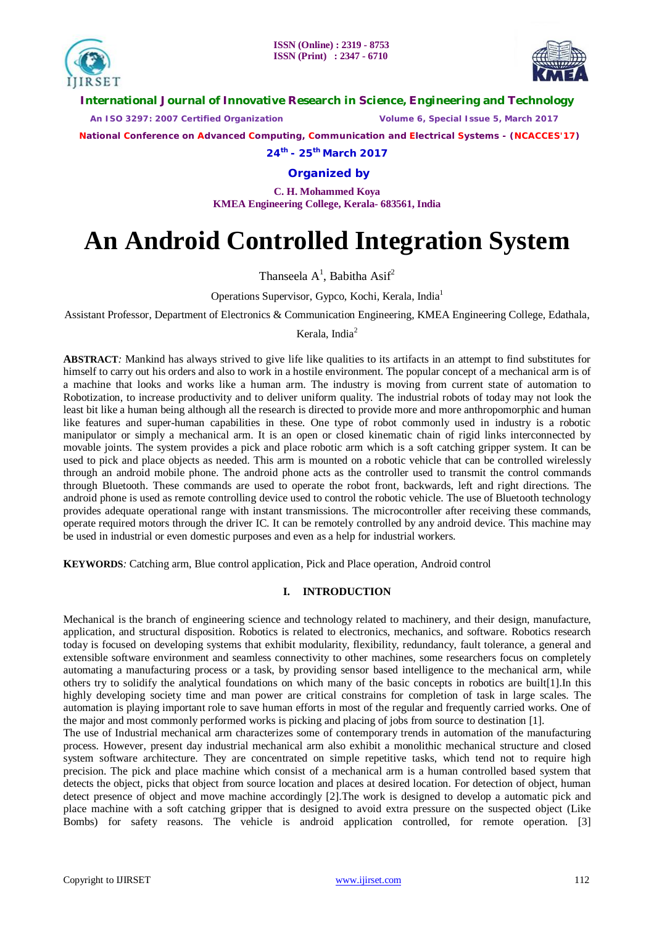



**International Journal of Innovative Research in Science, Engineering and Technology**

 *An ISO 3297: 2007 Certified Organization Volume 6, Special Issue 5, March 2017*

 **National Conference on Advanced Computing, Communication and Electrical Systems - (NCACCES'17)**

**24th - 25th March 2017**

**Organized by**

**C. H. Mohammed Koya KMEA Engineering College, Kerala- 683561, India** 

# **An Android Controlled Integration System**

Thanseela  $A^1$ , Babitha  $Asif^2$ 

Operations Supervisor, Gypco, Kochi, Kerala, India<sup>1</sup>

Assistant Professor, Department of Electronics & Communication Engineering, KMEA Engineering College, Edathala,

Kerala, India<sup>2</sup>

**ABSTRACT***:* Mankind has always strived to give life like qualities to its artifacts in an attempt to find substitutes for himself to carry out his orders and also to work in a hostile environment. The popular concept of a mechanical arm is of a machine that looks and works like a human arm. The industry is moving from current state of automation to Robotization, to increase productivity and to deliver uniform quality. The industrial robots of today may not look the least bit like a human being although all the research is directed to provide more and more anthropomorphic and human like features and super-human capabilities in these. One type of robot commonly used in industry is a robotic manipulator or simply a mechanical arm. It is an open or closed kinematic chain of rigid links interconnected by movable joints. The system provides a pick and place robotic arm which is a soft catching gripper system. It can be used to pick and place objects as needed. This arm is mounted on a robotic vehicle that can be controlled wirelessly through an android mobile phone. The android phone acts as the controller used to transmit the control commands through Bluetooth. These commands are used to operate the robot front, backwards, left and right directions. The android phone is used as remote controlling device used to control the robotic vehicle. The use of Bluetooth technology provides adequate operational range with instant transmissions. The microcontroller after receiving these commands, operate required motors through the driver IC. It can be remotely controlled by any android device. This machine may be used in industrial or even domestic purposes and even as a help for industrial workers.

**KEYWORDS***:* Catching arm, Blue control application, Pick and Place operation, Android control

# **I. INTRODUCTION**

Mechanical is the branch of engineering science and technology related to machinery, and their design, manufacture, application, and structural disposition. Robotics is related to electronics, mechanics, and software. Robotics research today is focused on developing systems that exhibit modularity, flexibility, redundancy, fault tolerance, a general and extensible software environment and seamless connectivity to other machines, some researchers focus on completely automating a manufacturing process or a task, by providing sensor based intelligence to the mechanical arm, while others try to solidify the analytical foundations on which many of the basic concepts in robotics are built[1].In this highly developing society time and man power are critical constrains for completion of task in large scales. The automation is playing important role to save human efforts in most of the regular and frequently carried works. One of the major and most commonly performed works is picking and placing of jobs from source to destination [1].

The use of Industrial mechanical arm characterizes some of contemporary trends in automation of the manufacturing process. However, present day industrial mechanical arm also exhibit a monolithic mechanical structure and closed system software architecture. They are concentrated on simple repetitive tasks, which tend not to require high precision. The pick and place machine which consist of a mechanical arm is a human controlled based system that detects the object, picks that object from source location and places at desired location. For detection of object, human detect presence of object and move machine accordingly [2].The work is designed to develop a automatic pick and place machine with a soft catching gripper that is designed to avoid extra pressure on the suspected object (Like Bombs) for safety reasons. The vehicle is android application controlled, for remote operation. [3]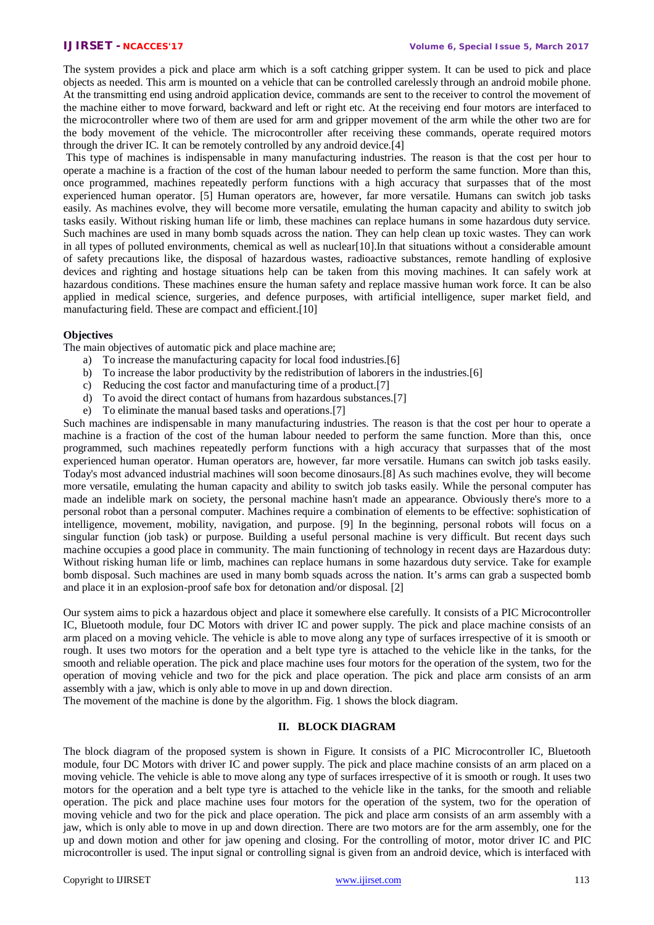The system provides a pick and place arm which is a soft catching gripper system. It can be used to pick and place objects as needed. This arm is mounted on a vehicle that can be controlled carelessly through an android mobile phone. At the transmitting end using android application device, commands are sent to the receiver to control the movement of the machine either to move forward, backward and left or right etc. At the receiving end four motors are interfaced to the microcontroller where two of them are used for arm and gripper movement of the arm while the other two are for the body movement of the vehicle. The microcontroller after receiving these commands, operate required motors through the driver IC. It can be remotely controlled by any android device.[4]

This type of machines is indispensable in many manufacturing industries. The reason is that the cost per hour to operate a machine is a fraction of the cost of the human labour needed to perform the same function. More than this, once programmed, machines repeatedly perform functions with a high accuracy that surpasses that of the most experienced human operator. [5] Human operators are, however, far more versatile. Humans can switch job tasks easily. As machines evolve, they will become more versatile, emulating the human capacity and ability to switch job tasks easily. Without risking human life or limb, these machines can replace humans in some hazardous duty service. Such machines are used in many bomb squads across the nation. They can help clean up toxic wastes. They can work in all types of polluted environments, chemical as well as nuclear[10].In that situations without a considerable amount of safety precautions like, the disposal of hazardous wastes, radioactive substances, remote handling of explosive devices and righting and hostage situations help can be taken from this moving machines. It can safely work at hazardous conditions. These machines ensure the human safety and replace massive human work force. It can be also applied in medical science, surgeries, and defence purposes, with artificial intelligence, super market field, and manufacturing field. These are compact and efficient.[10]

# **Objectives**

The main objectives of automatic pick and place machine are;

- a) To increase the manufacturing capacity for local food industries.[6]
- b) To increase the labor productivity by the redistribution of laborers in the industries.[6]
- c) Reducing the cost factor and manufacturing time of a product.[7]
- d) To avoid the direct contact of humans from hazardous substances.[7]
- e) To eliminate the manual based tasks and operations.[7]

Such machines are indispensable in many manufacturing industries. The reason is that the cost per hour to operate a machine is a fraction of the cost of the human labour needed to perform the same function. More than this, once programmed, such machines repeatedly perform functions with a high accuracy that surpasses that of the most experienced human operator. Human operators are, however, far more versatile. Humans can switch job tasks easily. Today's most advanced industrial machines will soon become dinosaurs.[8] As such machines evolve, they will become more versatile, emulating the human capacity and ability to switch job tasks easily. While the personal computer has made an indelible mark on society, the personal machine hasn't made an appearance. Obviously there's more to a personal robot than a personal computer. Machines require a combination of elements to be effective: sophistication of intelligence, movement, mobility, navigation, and purpose. [9] In the beginning, personal robots will focus on a singular function (job task) or purpose. Building a useful personal machine is very difficult. But recent days such machine occupies a good place in community. The main functioning of technology in recent days are Hazardous duty: Without risking human life or limb, machines can replace humans in some hazardous duty service. Take for example bomb disposal. Such machines are used in many bomb squads across the nation. It's arms can grab a suspected bomb and place it in an explosion-proof safe box for detonation and/or disposal. [2]

Our system aims to pick a hazardous object and place it somewhere else carefully. It consists of a PIC Microcontroller IC, Bluetooth module, four DC Motors with driver IC and power supply. The pick and place machine consists of an arm placed on a moving vehicle. The vehicle is able to move along any type of surfaces irrespective of it is smooth or rough. It uses two motors for the operation and a belt type tyre is attached to the vehicle like in the tanks, for the smooth and reliable operation. The pick and place machine uses four motors for the operation of the system, two for the operation of moving vehicle and two for the pick and place operation. The pick and place arm consists of an arm assembly with a jaw, which is only able to move in up and down direction.

The movement of the machine is done by the algorithm. Fig. 1 shows the block diagram.

# **II. BLOCK DIAGRAM**

The block diagram of the proposed system is shown in Figure. It consists of a PIC Microcontroller IC, Bluetooth module, four DC Motors with driver IC and power supply. The pick and place machine consists of an arm placed on a moving vehicle. The vehicle is able to move along any type of surfaces irrespective of it is smooth or rough. It uses two motors for the operation and a belt type tyre is attached to the vehicle like in the tanks, for the smooth and reliable operation. The pick and place machine uses four motors for the operation of the system, two for the operation of moving vehicle and two for the pick and place operation. The pick and place arm consists of an arm assembly with a jaw, which is only able to move in up and down direction. There are two motors are for the arm assembly, one for the up and down motion and other for jaw opening and closing. For the controlling of motor, motor driver IC and PIC microcontroller is used. The input signal or controlling signal is given from an android device, which is interfaced with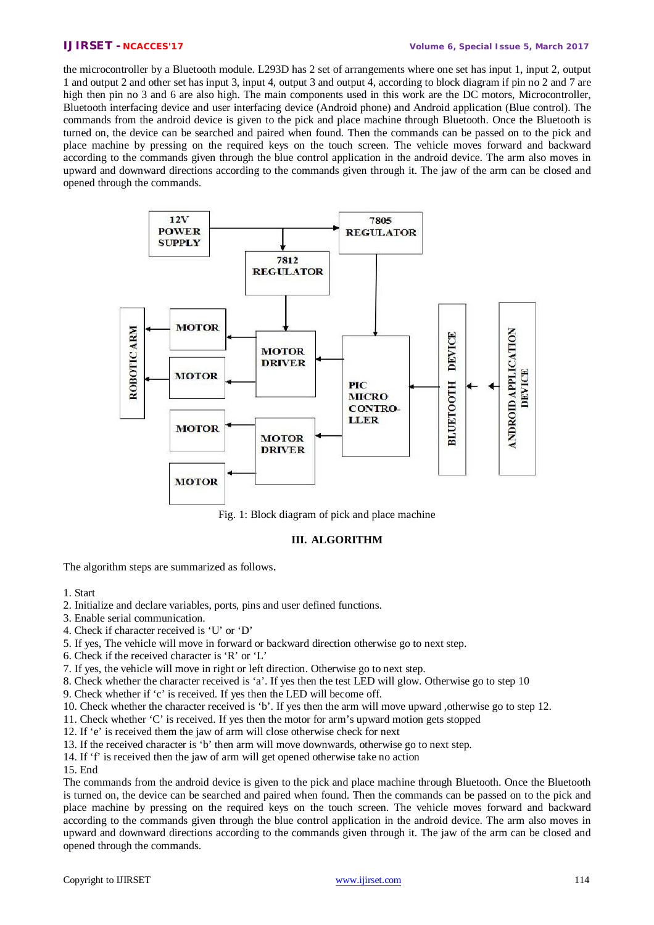the microcontroller by a Bluetooth module. L293D has 2 set of arrangements where one set has input 1, input 2, output 1 and output 2 and other set has input 3, input 4, output 3 and output 4, according to block diagram if pin no 2 and 7 are high then pin no 3 and 6 are also high. The main components used in this work are the DC motors, Microcontroller, Bluetooth interfacing device and user interfacing device (Android phone) and Android application (Blue control). The commands from the android device is given to the pick and place machine through Bluetooth. Once the Bluetooth is turned on, the device can be searched and paired when found. Then the commands can be passed on to the pick and place machine by pressing on the required keys on the touch screen. The vehicle moves forward and backward according to the commands given through the blue control application in the android device. The arm also moves in upward and downward directions according to the commands given through it. The jaw of the arm can be closed and opened through the commands.



Fig. 1: Block diagram of pick and place machine

# **III. ALGORITHM**

The algorithm steps are summarized as follows.

#### 1. Start

- 2. Initialize and declare variables, ports, pins and user defined functions.
- 3. Enable serial communication.
- 4. Check if character received is 'U' or 'D'
- 5. If yes, The vehicle will move in forward or backward direction otherwise go to next step.
- 6. Check if the received character is 'R' or 'L'
- 7. If yes, the vehicle will move in right or left direction. Otherwise go to next step.
- 8. Check whether the character received is 'a'. If yes then the test LED will glow. Otherwise go to step 10
- 9. Check whether if 'c' is received. If yes then the LED will become off.
- 10. Check whether the character received is 'b'. If yes then the arm will move upward ,otherwise go to step 12.
- 11. Check whether 'C' is received. If yes then the motor for arm's upward motion gets stopped
- 12. If 'e' is received them the jaw of arm will close otherwise check for next
- 13. If the received character is 'b' then arm will move downwards, otherwise go to next step.
- 14. If 'f' is received then the jaw of arm will get opened otherwise take no action
- 15. End

The commands from the android device is given to the pick and place machine through Bluetooth. Once the Bluetooth is turned on, the device can be searched and paired when found. Then the commands can be passed on to the pick and place machine by pressing on the required keys on the touch screen. The vehicle moves forward and backward according to the commands given through the blue control application in the android device. The arm also moves in upward and downward directions according to the commands given through it. The jaw of the arm can be closed and opened through the commands.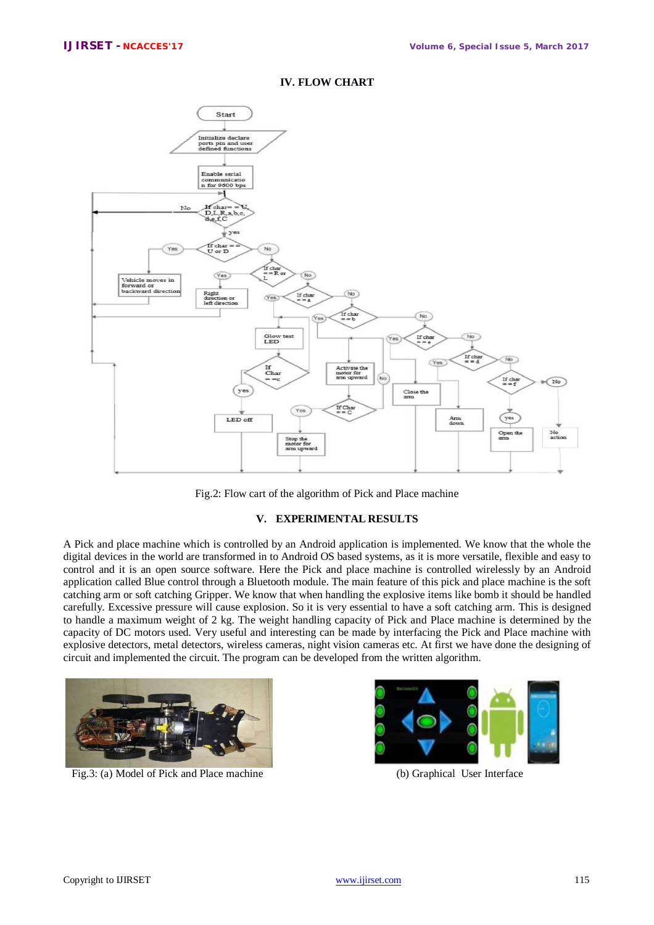

## **IV. FLOW CHART**



### **V. EXPERIMENTAL RESULTS**

A Pick and place machine which is controlled by an Android application is implemented. We know that the whole the digital devices in the world are transformed in to Android OS based systems, as it is more versatile, flexible and easy to control and it is an open source software. Here the Pick and place machine is controlled wirelessly by an Android application called Blue control through a Bluetooth module. The main feature of this pick and place machine is the soft catching arm or soft catching Gripper. We know that when handling the explosive items like bomb it should be handled carefully. Excessive pressure will cause explosion. So it is very essential to have a soft catching arm. This is designed to handle a maximum weight of 2 kg. The weight handling capacity of Pick and Place machine is determined by the capacity of DC motors used. Very useful and interesting can be made by interfacing the Pick and Place machine with explosive detectors, metal detectors, wireless cameras, night vision cameras etc. At first we have done the designing of circuit and implemented the circuit. The program can be developed from the written algorithm.



Fig.3: (a) Model of Pick and Place machine (b) Graphical User Interface